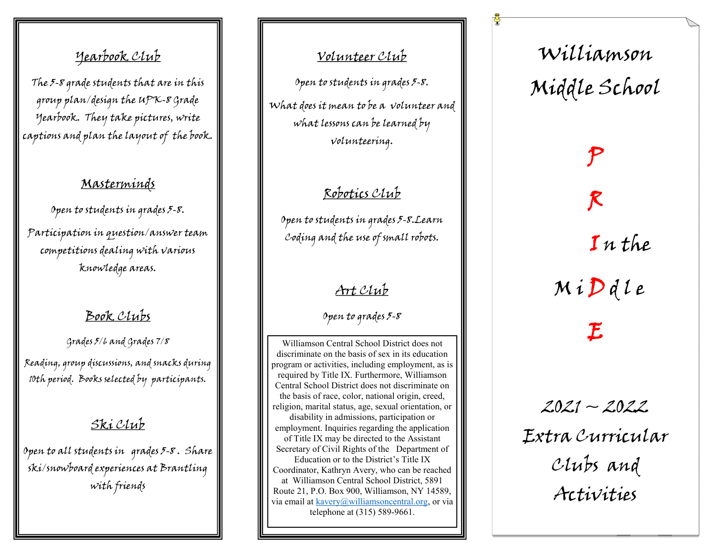#### Yearbook Club

The 5-8 grade students that are in this group plan/design the UPK-8 Grade Yearbook. They take pictures, write captions and plan the layout of the book.

### Masterminds

Open to students in grades 5-8. Participation in question/answer team competitions dealing with various knowledge areas.

### Book Clubs

Grades 5/6 and Grades 7/8 Reading, group discussions, and snacks during 10th period. Books selected by participants.

### Ski Club

Open to all students in grades 5-8 . Share ski/snowboard experiences at Brantling with friends

### Volunteer Club

Open to students in grades 5-8. What does it mean to be a volunteer and what lessons can be learned by volunteering.

## Robotics Club

Open to students in grades 5-8.Learn Coding and the use of small robots.

## Art Club

Open to grades 5-8

Williamson Central School District does not discriminate on the basis of sex in its education program or activities, including employment, as is required by Title IX. Furthermore, Williamson Central School District does not discriminate on the basis of race, color, national origin, creed, religion, marital status, age, sexual orientation, or disability in admissions, participation or employment. Inquiries regarding the application of Title IX may be directed to the Assistant Secretary of Civil Rights of the Department of Education or to the District's Title IX Coordinator, Kathryn Avery, who can be reached at Williamson Central School District, 5891 Route 21, P.O. Box 900, Williamson, NY 14589, via email at [kavery@williamsoncentral.org,](mailto:kavery@williamsoncentral.org) or via telephone at (315) 589-9661.

Williamson Middle School

P

R I n the M i D d l e E

2021 ~ 2022 Extra Curricular Clubs and Activities